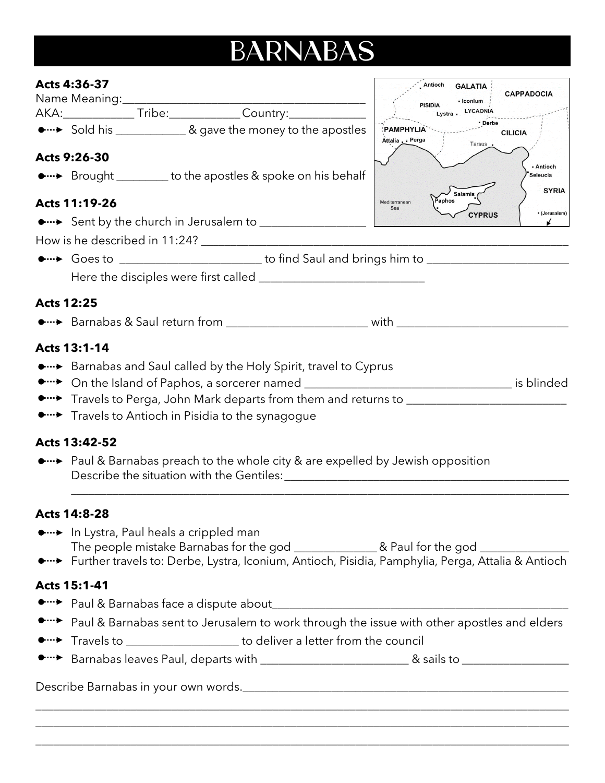## **BARNABAS**

| Acts 4:36-37                                                                                                                                                                                                                                                            | Antioch<br><b>GALATIA</b><br><b>CAPPADOCIA</b>                               |  |
|-------------------------------------------------------------------------------------------------------------------------------------------------------------------------------------------------------------------------------------------------------------------------|------------------------------------------------------------------------------|--|
| Name Meaning:<br>AKA:_______________Tribe:_____________Country:____________________                                                                                                                                                                                     | - Iconium<br><b>PISIDIA</b><br>Lystra LYCAONIA                               |  |
| • Sold his _____________& gave the money to the apostles                                                                                                                                                                                                                | • Derbe<br><b>PAMPHYLIA</b><br><b>CILICIA</b><br>Attalia . Perga<br>Tarsus . |  |
| Acts 9:26-30                                                                                                                                                                                                                                                            |                                                                              |  |
| • ••• Brought ________ to the apostles & spoke on his behalf                                                                                                                                                                                                            | - Antioch<br>Seleucia<br><b>SYRIA</b>                                        |  |
| Acts 11:19-26                                                                                                                                                                                                                                                           | <b>Salamis</b><br>Paphos<br>Mediterranean<br>Sea                             |  |
|                                                                                                                                                                                                                                                                         | · (Jerusalem)<br><b>CYPRUS</b>                                               |  |
|                                                                                                                                                                                                                                                                         |                                                                              |  |
|                                                                                                                                                                                                                                                                         |                                                                              |  |
|                                                                                                                                                                                                                                                                         |                                                                              |  |
| <b>Acts 12:25</b>                                                                                                                                                                                                                                                       |                                                                              |  |
|                                                                                                                                                                                                                                                                         |                                                                              |  |
| Acts 13:1-14                                                                                                                                                                                                                                                            |                                                                              |  |
| •…• Barnabas and Saul called by the Holy Spirit, travel to Cyprus<br>•…► On the Island of Paphos, a sorcerer named ___________________________________ is blinded<br>•…• Travels to Antioch in Pisidia to the synagogue                                                 |                                                                              |  |
| Acts 13:42-52                                                                                                                                                                                                                                                           |                                                                              |  |
| • ••• Paul & Barnabas preach to the whole city & are expelled by Jewish opposition                                                                                                                                                                                      |                                                                              |  |
| <b>Acts 14:8-28</b>                                                                                                                                                                                                                                                     |                                                                              |  |
| • ··· In Lystra, Paul heals a crippled man<br>The people mistake Barnabas for the god _________________& Paul for the god __________________________________<br>• ••• Further travels to: Derbe, Lystra, Iconium, Antioch, Pisidia, Pamphylia, Perga, Attalia & Antioch |                                                                              |  |
| Acts 15:1-41                                                                                                                                                                                                                                                            |                                                                              |  |
|                                                                                                                                                                                                                                                                         |                                                                              |  |
| Paul & Barnabas sent to Jerusalem to work through the issue with other apostles and elders                                                                                                                                                                              |                                                                              |  |
| Travels to _____________________ to deliver a letter from the council                                                                                                                                                                                                   |                                                                              |  |
|                                                                                                                                                                                                                                                                         |                                                                              |  |
|                                                                                                                                                                                                                                                                         |                                                                              |  |

\_\_\_\_\_\_\_\_\_\_\_\_\_\_\_\_\_\_\_\_\_\_\_\_\_\_\_\_\_\_\_\_\_\_\_\_\_\_\_\_\_\_\_\_\_\_\_\_\_\_\_\_\_\_\_\_\_\_\_\_\_\_\_\_\_\_\_\_\_\_\_\_\_\_\_\_\_\_\_\_\_\_\_\_\_\_\_\_\_\_